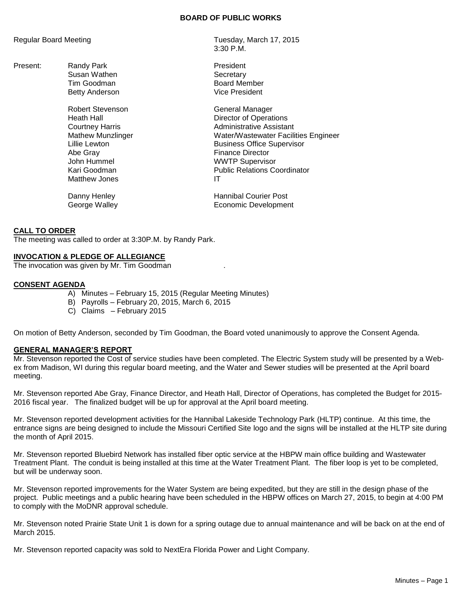### **BOARD OF PUBLIC WORKS**

Present: Randy Park **President** Susan Wathen **Susan Wathen** Secretary

> Robert Stevenson General Manager Abe Gray **Finance Director** John Hummel WWTP Supervisor Matthew Jones

Regular Board Meeting Tuesday, March 17, 2015 3:30 P.M.

> Tim Goodman and Board Member Betty Anderson **Vice President**

Heath Hall **Hall** Director of Operations Courtney Harris **Administrative Assistant** Mathew Munzlinger Water/Wastewater Facilities Engineer Lillie Lewton **Business** Office Supervisor Public Relations Coordinator<br>IT

Danny Henley **Hannibal Courier Post** George Walley **Example 20** Economic Development

## **CALL TO ORDER**

The meeting was called to order at 3:30P.M. by Randy Park.

## **INVOCATION & PLEDGE OF ALLEGIANCE**

The invocation was given by Mr. Tim Goodman .

#### **CONSENT AGENDA**

- A) Minutes February 15, 2015 (Regular Meeting Minutes)
- B) Payrolls February 20, 2015, March 6, 2015
- C) Claims February 2015

On motion of Betty Anderson, seconded by Tim Goodman, the Board voted unanimously to approve the Consent Agenda.

## **GENERAL MANAGER'S REPORT**

Mr. Stevenson reported the Cost of service studies have been completed. The Electric System study will be presented by a Webex from Madison, WI during this regular board meeting, and the Water and Sewer studies will be presented at the April board meeting.

Mr. Stevenson reported Abe Gray, Finance Director, and Heath Hall, Director of Operations, has completed the Budget for 2015- 2016 fiscal year. The finalized budget will be up for approval at the April board meeting.

Mr. Stevenson reported development activities for the Hannibal Lakeside Technology Park (HLTP) continue. At this time, the entrance signs are being designed to include the Missouri Certified Site logo and the signs will be installed at the HLTP site during the month of April 2015.

Mr. Stevenson reported Bluebird Network has installed fiber optic service at the HBPW main office building and Wastewater Treatment Plant. The conduit is being installed at this time at the Water Treatment Plant. The fiber loop is yet to be completed, but will be underway soon.

Mr. Stevenson reported improvements for the Water System are being expedited, but they are still in the design phase of the project. Public meetings and a public hearing have been scheduled in the HBPW offices on March 27, 2015, to begin at 4:00 PM to comply with the MoDNR approval schedule.

Mr. Stevenson noted Prairie State Unit 1 is down for a spring outage due to annual maintenance and will be back on at the end of March 2015.

Mr. Stevenson reported capacity was sold to NextEra Florida Power and Light Company.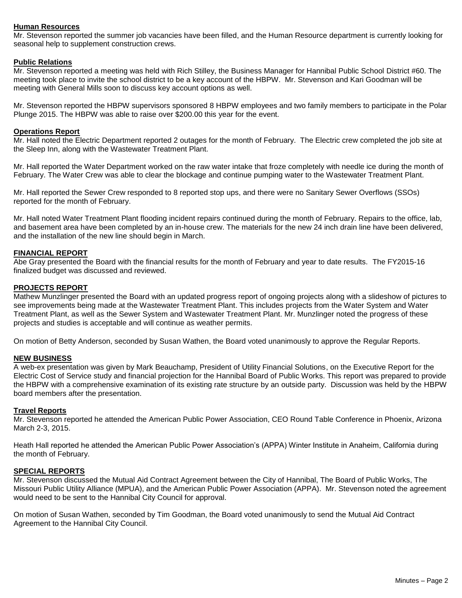# **Human Resources**

Mr. Stevenson reported the summer job vacancies have been filled, and the Human Resource department is currently looking for seasonal help to supplement construction crews.

## **Public Relations**

Mr. Stevenson reported a meeting was held with Rich Stilley, the Business Manager for Hannibal Public School District #60. The meeting took place to invite the school district to be a key account of the HBPW. Mr. Stevenson and Kari Goodman will be meeting with General Mills soon to discuss key account options as well.

Mr. Stevenson reported the HBPW supervisors sponsored 8 HBPW employees and two family members to participate in the Polar Plunge 2015. The HBPW was able to raise over \$200.00 this year for the event.

### **Operations Report**

Mr. Hall noted the Electric Department reported 2 outages for the month of February. The Electric crew completed the job site at the Sleep Inn, along with the Wastewater Treatment Plant.

Mr. Hall reported the Water Department worked on the raw water intake that froze completely with needle ice during the month of February. The Water Crew was able to clear the blockage and continue pumping water to the Wastewater Treatment Plant.

Mr. Hall reported the Sewer Crew responded to 8 reported stop ups, and there were no Sanitary Sewer Overflows (SSOs) reported for the month of February.

Mr. Hall noted Water Treatment Plant flooding incident repairs continued during the month of February. Repairs to the office, lab, and basement area have been completed by an in-house crew. The materials for the new 24 inch drain line have been delivered, and the installation of the new line should begin in March.

## **FINANCIAL REPORT**

Abe Gray presented the Board with the financial results for the month of February and year to date results. The FY2015-16 finalized budget was discussed and reviewed.

## **PROJECTS REPORT**

Mathew Munzlinger presented the Board with an updated progress report of ongoing projects along with a slideshow of pictures to see improvements being made at the Wastewater Treatment Plant. This includes projects from the Water System and Water Treatment Plant, as well as the Sewer System and Wastewater Treatment Plant. Mr. Munzlinger noted the progress of these projects and studies is acceptable and will continue as weather permits.

On motion of Betty Anderson, seconded by Susan Wathen, the Board voted unanimously to approve the Regular Reports.

#### **NEW BUSINESS**

A web-ex presentation was given by Mark Beauchamp, President of Utility Financial Solutions, on the Executive Report for the Electric Cost of Service study and financial projection for the Hannibal Board of Public Works. This report was prepared to provide the HBPW with a comprehensive examination of its existing rate structure by an outside party. Discussion was held by the HBPW board members after the presentation.

#### **Travel Reports**

Mr. Stevenson reported he attended the American Public Power Association, CEO Round Table Conference in Phoenix, Arizona March 2-3, 2015.

Heath Hall reported he attended the American Public Power Association's (APPA) Winter Institute in Anaheim, California during the month of February.

#### **SPECIAL REPORTS**

Mr. Stevenson discussed the Mutual Aid Contract Agreement between the City of Hannibal, The Board of Public Works, The Missouri Public Utility Alliance (MPUA), and the American Public Power Association (APPA). Mr. Stevenson noted the agreement would need to be sent to the Hannibal City Council for approval.

On motion of Susan Wathen, seconded by Tim Goodman, the Board voted unanimously to send the Mutual Aid Contract Agreement to the Hannibal City Council.